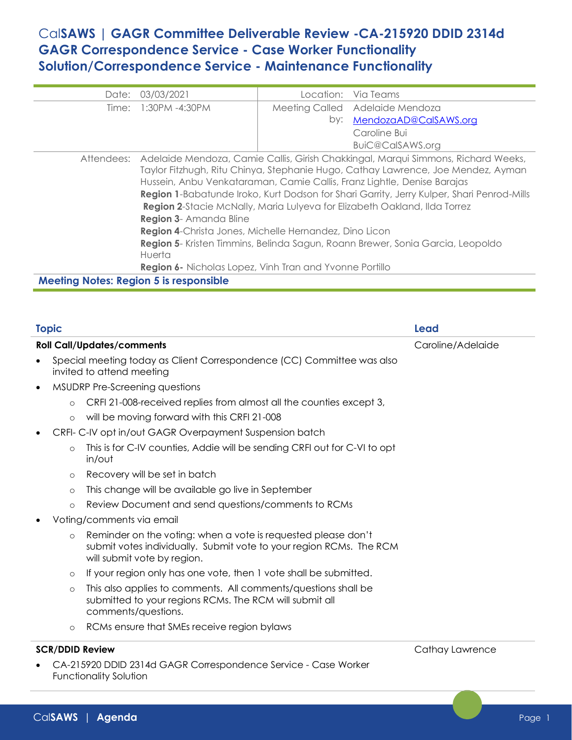# Cal**SAWS | GAGR Committee Deliverable Review -CA-215920 DDID 2314d GAGR Correspondence Service - Case Worker Functionality Solution/Correspondence Service - Maintenance Functionality**

| Date:                                         | 03/03/2021                                                                                                                                                                                                                                                                                                                                                                                                                                                                                                                                                                                                                                                                       |  | Location: Via Teams             |  |  |  |
|-----------------------------------------------|----------------------------------------------------------------------------------------------------------------------------------------------------------------------------------------------------------------------------------------------------------------------------------------------------------------------------------------------------------------------------------------------------------------------------------------------------------------------------------------------------------------------------------------------------------------------------------------------------------------------------------------------------------------------------------|--|---------------------------------|--|--|--|
|                                               | Time: 1:30PM -4:30PM                                                                                                                                                                                                                                                                                                                                                                                                                                                                                                                                                                                                                                                             |  | Meeting Called Adelaide Mendoza |  |  |  |
|                                               |                                                                                                                                                                                                                                                                                                                                                                                                                                                                                                                                                                                                                                                                                  |  | by: MendozaAD@CalSAWS.org       |  |  |  |
|                                               |                                                                                                                                                                                                                                                                                                                                                                                                                                                                                                                                                                                                                                                                                  |  | Caroline Bui                    |  |  |  |
|                                               |                                                                                                                                                                                                                                                                                                                                                                                                                                                                                                                                                                                                                                                                                  |  | BuiC@CalSAWS.org                |  |  |  |
|                                               | Attendees: Adelaide Mendoza, Camie Callis, Girish Chakkingal, Marqui Simmons, Richard Weeks,<br>Taylor Fitzhugh, Ritu Chinya, Stephanie Hugo, Cathay Lawrence, Joe Mendez, Ayman<br>Hussein, Anbu Venkataraman, Camie Callis, Franz Lightle, Denise Barajas<br>Region 1-Babatunde Iroko, Kurt Dodson for Shari Garrity, Jerry Kulper, Shari Penrod-Mills<br>Region 2-Stacie McNally, Maria Lulyeva for Elizabeth Oakland, Ilda Torrez<br>Region 3- Amanda Bline<br>Region 4-Christa Jones, Michelle Hernandez, Dino Licon<br>Region 5- Kristen Timmins, Belinda Sagun, Roann Brewer, Sonia Garcia, Leopoldo<br>Huerta<br>Region 6- Nicholas Lopez, Vinh Tran and Yvonne Portillo |  |                                 |  |  |  |
| <b>Meeting Notes: Region 5 is responsible</b> |                                                                                                                                                                                                                                                                                                                                                                                                                                                                                                                                                                                                                                                                                  |  |                                 |  |  |  |

| <b>Topic</b> |                        |                                                                                                                                                                     | Lead              |  |
|--------------|------------------------|---------------------------------------------------------------------------------------------------------------------------------------------------------------------|-------------------|--|
|              |                        | <b>Roll Call/Updates/comments</b>                                                                                                                                   | Caroline/Adelaide |  |
| $\bullet$    |                        | Special meeting today as Client Correspondence (CC) Committee was also<br>invited to attend meeting                                                                 |                   |  |
| $\bullet$    |                        | MSUDRP Pre-Screening questions                                                                                                                                      |                   |  |
|              | $\circ$                | CRFI 21-008-received replies from almost all the counties except 3,                                                                                                 |                   |  |
|              | $\circ$                | will be moving forward with this CRFI 21-008                                                                                                                        |                   |  |
|              |                        | CRFI- C-IV opt in/out GAGR Overpayment Suspension batch                                                                                                             |                   |  |
|              | $\circ$                | This is for C-IV counties, Addie will be sending CRFI out for C-VI to opt<br>in/out                                                                                 |                   |  |
|              | $\circ$                | Recovery will be set in batch                                                                                                                                       |                   |  |
|              | $\circ$                | This change will be available go live in September                                                                                                                  |                   |  |
|              | $\circ$                | Review Document and send questions/comments to RCMs                                                                                                                 |                   |  |
|              |                        | Voting/comments via email                                                                                                                                           |                   |  |
|              | $\circ$                | Reminder on the voting: when a vote is requested please don't<br>submit votes individually. Submit vote to your region RCMs. The RCM<br>will submit vote by region. |                   |  |
|              | $\circ$                | If your region only has one vote, then 1 vote shall be submitted.                                                                                                   |                   |  |
|              | $\circ$                | This also applies to comments. All comments/questions shall be<br>submitted to your regions RCMs. The RCM will submit all<br>comments/questions.                    |                   |  |
|              | $\circ$                | RCMs ensure that SMEs receive region bylaws                                                                                                                         |                   |  |
|              | <b>SCR/DDID Review</b> |                                                                                                                                                                     | Cathay Lawrence   |  |
|              |                        | CA-215920 DDID 2314d GAGR Correspondence Service - Case Worker<br><b>Functionality Solution</b>                                                                     |                   |  |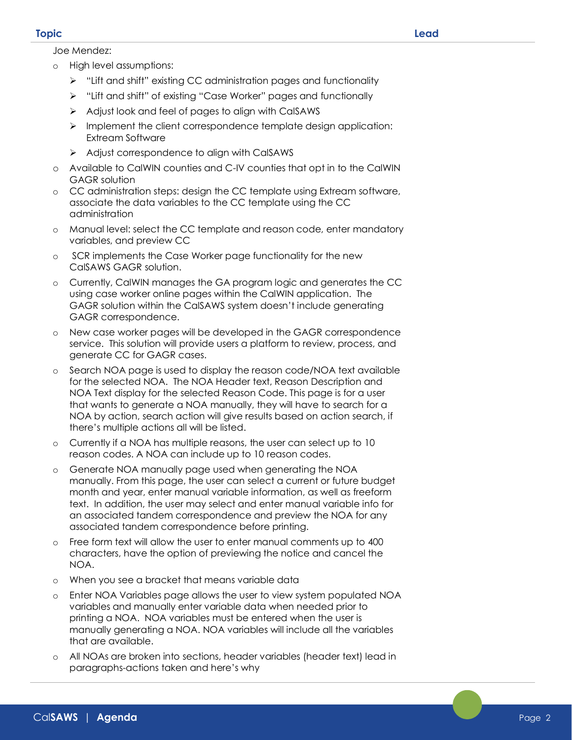### **Topic Lead**

- o High level assumptions:
	- ➢ "Lift and shift" existing CC administration pages and functionality
	- ➢ "Lift and shift" of existing "Case Worker" pages and functionally
	- ➢ Adjust look and feel of pages to align with CalSAWS
	- ➢ Implement the client correspondence template design application: Extream Software
	- ➢ Adjust correspondence to align with CalSAWS
- o Available to CalWIN counties and C-IV counties that opt in to the CalWIN GAGR solution
- o CC administration steps: design the CC template using Extream software, associate the data variables to the CC template using the CC administration
- o Manual level: select the CC template and reason code, enter mandatory variables, and preview CC
- o SCR implements the Case Worker page functionality for the new CalSAWS GAGR solution.
- Currently, CalWIN manages the GA program logic and generates the CC using case worker online pages within the CalWIN application. The GAGR solution within the CalSAWS system doesn't include generating GAGR correspondence.
- o New case worker pages will be developed in the GAGR correspondence service. This solution will provide users a platform to review, process, and generate CC for GAGR cases.
- o Search NOA page is used to display the reason code/NOA text available for the selected NOA. The NOA Header text, Reason Description and NOA Text display for the selected Reason Code. This page is for a user that wants to generate a NOA manually, they will have to search for a NOA by action, search action will give results based on action search, if there's multiple actions all will be listed.
- o Currently if a NOA has multiple reasons, the user can select up to 10 reason codes. A NOA can include up to 10 reason codes.
- o Generate NOA manually page used when generating the NOA manually. From this page, the user can select a current or future budget month and year, enter manual variable information, as well as freeform text. In addition, the user may select and enter manual variable info for an associated tandem correspondence and preview the NOA for any associated tandem correspondence before printing.
- o Free form text will allow the user to enter manual comments up to 400 characters, have the option of previewing the notice and cancel the NOA.
- o When you see a bracket that means variable data
- o Enter NOA Variables page allows the user to view system populated NOA variables and manually enter variable data when needed prior to printing a NOA. NOA variables must be entered when the user is manually generating a NOA. NOA variables will include all the variables that are available.
- All NOAs are broken into sections, header variables (header text) lead in paragraphs-actions taken and here's why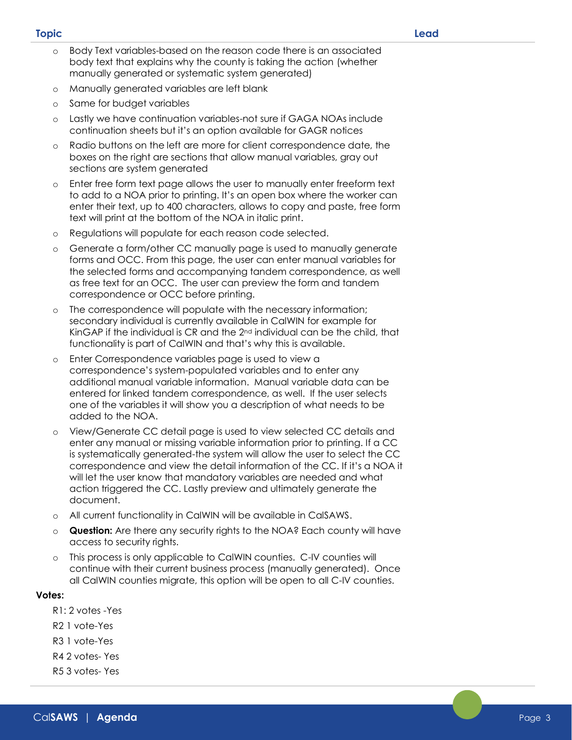- o Body Text variables-based on the reason code there is an associated body text that explains why the county is taking the action (whether manually generated or systematic system generated)
- o Manually generated variables are left blank
- o Same for budget variables
- o Lastly we have continuation variables-not sure if GAGA NOAs include continuation sheets but it's an option available for GAGR notices
- o Radio buttons on the left are more for client correspondence date, the boxes on the right are sections that allow manual variables, gray out sections are system generated
- Enter free form text page allows the user to manually enter freeform text to add to a NOA prior to printing. It's an open box where the worker can enter their text, up to 400 characters, allows to copy and paste, free form text will print at the bottom of the NOA in italic print.
- o Regulations will populate for each reason code selected.
- o Generate a form/other CC manually page is used to manually generate forms and OCC. From this page, the user can enter manual variables for the selected forms and accompanying tandem correspondence, as well as free text for an OCC. The user can preview the form and tandem correspondence or OCC before printing.
- The correspondence will populate with the necessary information; secondary individual is currently available in CalWIN for example for KinGAP if the individual is CR and the 2nd individual can be the child, that functionality is part of CalWIN and that's why this is available.
- Enter Correspondence variables page is used to view a correspondence's system-populated variables and to enter any additional manual variable information. Manual variable data can be entered for linked tandem correspondence, as well. If the user selects one of the variables it will show you a description of what needs to be added to the NOA.
- o View/Generate CC detail page is used to view selected CC details and enter any manual or missing variable information prior to printing. If a CC is systematically generated-the system will allow the user to select the CC correspondence and view the detail information of the CC. If it's a NOA it will let the user know that mandatory variables are needed and what action triggered the CC. Lastly preview and ultimately generate the document.
- o All current functionality in CalWIN will be available in CalSAWS.
- o **Question:** Are there any security rights to the NOA? Each county will have access to security rights.
- o This process is only applicable to CalWIN counties. C-IV counties will continue with their current business process (manually generated). Once all CalWIN counties migrate, this option will be open to all C-IV counties.

# **Votes:**

- R1: 2 votes -Yes
- R2 1 vote-Yes
- R3 1 vote-Yes
- R4 2 votes- Yes
- R5 3 votes- Yes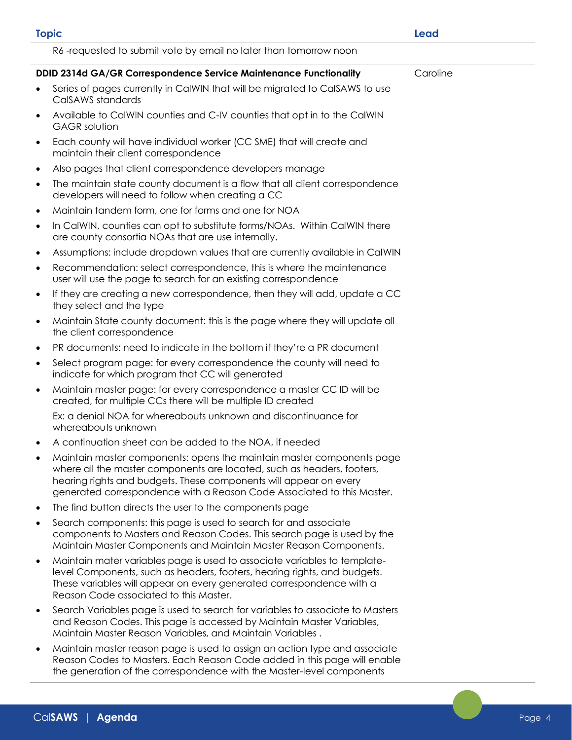| <b>Topic</b> |                                                                                                                                                                                                                                                                                                | Lead     |
|--------------|------------------------------------------------------------------------------------------------------------------------------------------------------------------------------------------------------------------------------------------------------------------------------------------------|----------|
|              | R6-requested to submit vote by email no later than tomorrow noon                                                                                                                                                                                                                               |          |
|              | DDID 2314d GA/GR Correspondence Service Maintenance Functionality                                                                                                                                                                                                                              | Caroline |
|              | Series of pages currently in CalWIN that will be migrated to CalSAWS to use<br>CalSAWS standards                                                                                                                                                                                               |          |
| $\bullet$    | Available to CalWIN counties and C-IV counties that opt in to the CalWIN<br><b>GAGR</b> solution                                                                                                                                                                                               |          |
| $\bullet$    | Each county will have individual worker (CC SME) that will create and<br>maintain their client correspondence                                                                                                                                                                                  |          |
| $\bullet$    | Also pages that client correspondence developers manage                                                                                                                                                                                                                                        |          |
| $\bullet$    | The maintain state county document is a flow that all client correspondence<br>developers will need to follow when creating a CC                                                                                                                                                               |          |
| $\bullet$    | Maintain tandem form, one for forms and one for NOA                                                                                                                                                                                                                                            |          |
| $\bullet$    | In CalWIN, counties can opt to substitute forms/NOAs. Within CalWIN there<br>are county consortia NOAs that are use internally.                                                                                                                                                                |          |
| $\bullet$    | Assumptions: include dropdown values that are currently available in CalWIN                                                                                                                                                                                                                    |          |
| $\bullet$    | Recommendation: select correspondence, this is where the maintenance<br>user will use the page to search for an existing correspondence                                                                                                                                                        |          |
| $\bullet$    | If they are creating a new correspondence, then they will add, update a CC<br>they select and the type                                                                                                                                                                                         |          |
| $\bullet$    | Maintain State county document: this is the page where they will update all<br>the client correspondence                                                                                                                                                                                       |          |
| $\bullet$    | PR documents: need to indicate in the bottom if they're a PR document                                                                                                                                                                                                                          |          |
| $\bullet$    | Select program page: for every correspondence the county will need to<br>indicate for which program that CC will generated                                                                                                                                                                     |          |
| $\bullet$    | Maintain master page: for every correspondence a master CC ID will be<br>created, for multiple CCs there will be multiple ID created                                                                                                                                                           |          |
|              | Ex: a denial NOA for whereabouts unknown and discontinuance for<br>whereabouts unknown                                                                                                                                                                                                         |          |
|              | A continuation sheet can be added to the NOA, if needed                                                                                                                                                                                                                                        |          |
|              | Maintain master components: opens the maintain master components page<br>where all the master components are located, such as headers, footers,<br>hearing rights and budgets. These components will appear on every<br>generated correspondence with a Reason Code Associated to this Master. |          |
| $\bullet$    | The find button directs the user to the components page                                                                                                                                                                                                                                        |          |
| $\bullet$    | Search components: this page is used to search for and associate<br>components to Masters and Reason Codes. This search page is used by the<br>Maintain Master Components and Maintain Master Reason Components.                                                                               |          |
| $\bullet$    | Maintain mater variables page is used to associate variables to template-<br>level Components, such as headers, footers, hearing rights, and budgets.<br>These variables will appear on every generated correspondence with a<br>Reason Code associated to this Master.                        |          |
| $\bullet$    | Search Variables page is used to search for variables to associate to Masters<br>and Reason Codes. This page is accessed by Maintain Master Variables,<br>Maintain Master Reason Variables, and Maintain Variables.                                                                            |          |
| $\bullet$    | Maintain master reason page is used to assign an action type and associate<br>Reason Codes to Masters. Each Reason Code added in this page will enable<br>the generation of the correspondence with the Master-level components                                                                |          |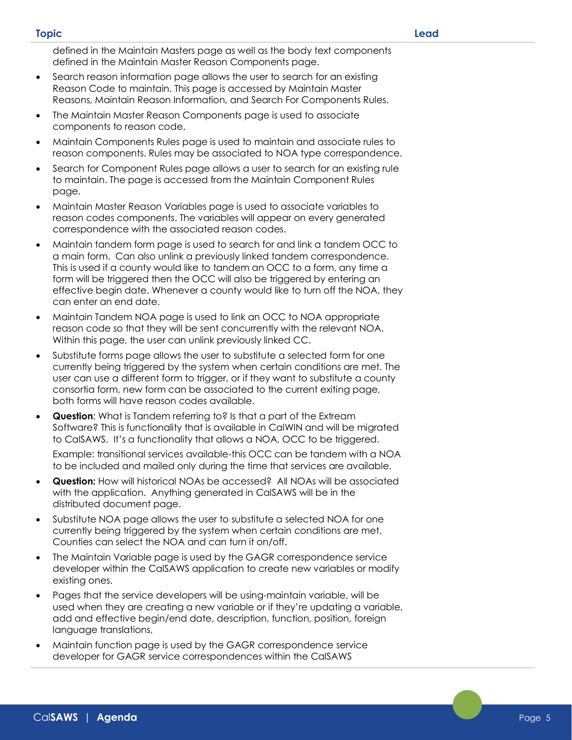#### **Topic Lead**

defined in the Maintain Masters page as well as the body text components defined in the Maintain Master Reason Components page.

- Search reason information page allows the user to search for an existing Reason Code to maintain. This page is accessed by Maintain Master Reasons, Maintain Reason Information, and Search For Components Rules.
- The Maintain Master Reason Components page is used to associate components to reason code.
- Maintain Components Rules page is used to maintain and associate rules to reason components. Rules may be associated to NOA type correspondence.
- Search for Component Rules page allows a user to search for an existing rule to maintain. The page is accessed from the Maintain Component Rules page.
- Maintain Master Reason Variables page is used to associate variables to reason codes components. The variables will appear on every generated correspondence with the associated reason codes.
- Maintain tandem form page is used to search for and link a tandem OCC to a main form. Can also unlink a previously linked tandem correspondence. This is used if a county would like to tandem an OCC to a form, any time a form will be triggered then the OCC will also be triggered by entering an effective begin date. Whenever a county would like to turn off the NOA, they can enter an end date.
- Maintain Tandem NOA page is used to link an OCC to NOA appropriate reason code so that they will be sent concurrently with the relevant NOA. Within this page, the user can unlink previously linked CC.
- Substitute forms page allows the user to substitute a selected form for one currently being triggered by the system when certain conditions are met. The user can use a different form to trigger, or if they want to substitute a county consortia form, new form can be associated to the current exiting page, both forms will have reason codes available.
- **Question:** What is Tandem referring to? Is that a part of the Extream Software? This is functionality that is available in CalWIN and will be migrated to CalSAWS. It's a functionality that allows a NOA, OCC to be triggered.

Example: transitional services available-this OCC can be tandem with a NOA to be included and mailed only during the time that services are available.

- **Question:** How will historical NOAs be accessed? All NOAs will be associated with the application. Anything generated in CalSAWS will be in the distributed document page.
- Substitute NOA page allows the user to substitute a selected NOA for one currently being triggered by the system when certain conditions are met. Counties can select the NOA and can turn it on/off.
- The Maintain Variable page is used by the GAGR correspondence service developer within the CalSAWS application to create new variables or modify existing ones.
- Pages that the service developers will be using-maintain variable, will be used when they are creating a new variable or if they're updating a variable, add and effective begin/end date, description, function, position, foreign language translations,
- Maintain function page is used by the GAGR correspondence service developer for GAGR service correspondences within the CalSAWS